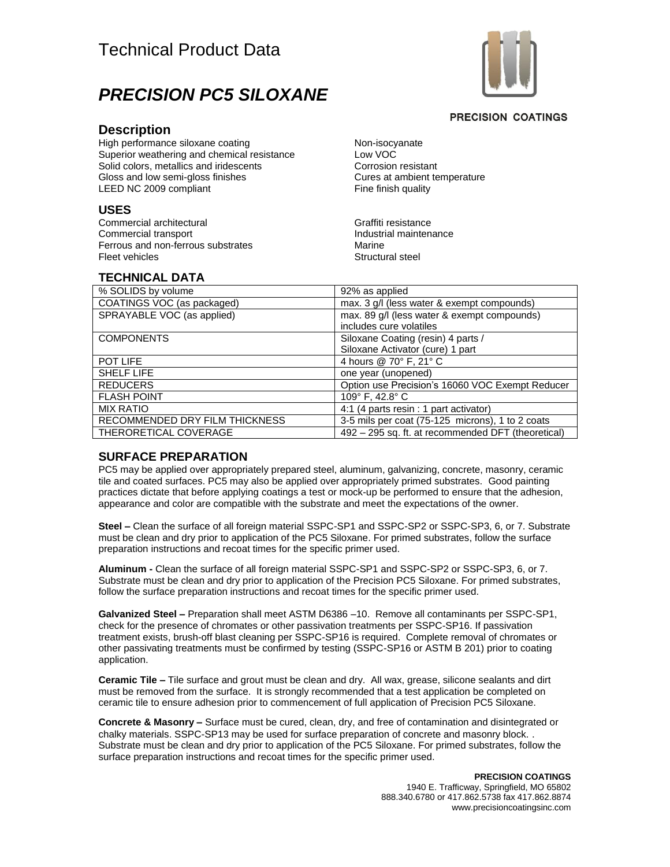# Technical Product Data



# *PRECISION PC5 SILOXANE*

#### **PRECISION COATINGS**

#### **Description**

High performance siloxane coating Superior weathering and chemical resistance Solid colors, metallics and iridescents Gloss and low semi-gloss finishes LEED NC 2009 compliant

#### **USES**

Commercial architectural Commercial transport Ferrous and non-ferrous substrates Fleet vehicles

Non-isocyanate Low VOC Corrosion resistant Cures at ambient temperature Fine finish quality

Graffiti resistance Industrial maintenance Marine Structural steel

# **TECHNICAL DATA**

| % SOLIDS by volume             | 92% as applied                                                         |
|--------------------------------|------------------------------------------------------------------------|
| COATINGS VOC (as packaged)     | max. 3 g/l (less water & exempt compounds)                             |
| SPRAYABLE VOC (as applied)     | max. 89 g/l (less water & exempt compounds)<br>includes cure volatiles |
| <b>COMPONENTS</b>              | Siloxane Coating (resin) 4 parts /                                     |
|                                | Siloxane Activator (cure) 1 part                                       |
| POT LIFE                       | 4 hours @ 70° F, 21° C                                                 |
| <b>SHELF LIFE</b>              | one year (unopened)                                                    |
| <b>REDUCERS</b>                | Option use Precision's 16060 VOC Exempt Reducer                        |
| <b>FLASH POINT</b>             | 109° F, 42.8° C                                                        |
| <b>MIX RATIO</b>               | 4:1 (4 parts resin : 1 part activator)                                 |
| RECOMMENDED DRY FILM THICKNESS | 3-5 mils per coat (75-125 microns), 1 to 2 coats                       |
| THERORETICAL COVERAGE          | 492 - 295 sq. ft. at recommended DFT (theoretical)                     |

## **SURFACE PREPARATION**

PC5 may be applied over appropriately prepared steel, aluminum, galvanizing, concrete, masonry, ceramic tile and coated surfaces. PC5 may also be applied over appropriately primed substrates. Good painting practices dictate that before applying coatings a test or mock-up be performed to ensure that the adhesion, appearance and color are compatible with the substrate and meet the expectations of the owner.

**Steel –** Clean the surface of all foreign material SSPC-SP1 and SSPC-SP2 or SSPC-SP3, 6, or 7. Substrate must be clean and dry prior to application of the PC5 Siloxane. For primed substrates, follow the surface preparation instructions and recoat times for the specific primer used.

**Aluminum -** Clean the surface of all foreign material SSPC-SP1 and SSPC-SP2 or SSPC-SP3, 6, or 7. Substrate must be clean and dry prior to application of the Precision PC5 Siloxane. For primed substrates, follow the surface preparation instructions and recoat times for the specific primer used.

**Galvanized Steel –** Preparation shall meet ASTM D6386 –10. Remove all contaminants per SSPC-SP1, check for the presence of chromates or other passivation treatments per SSPC-SP16. If passivation treatment exists, brush-off blast cleaning per SSPC-SP16 is required. Complete removal of chromates or other passivating treatments must be confirmed by testing (SSPC-SP16 or ASTM B 201) prior to coating application.

**Ceramic Tile –** Tile surface and grout must be clean and dry. All wax, grease, silicone sealants and dirt must be removed from the surface. It is strongly recommended that a test application be completed on ceramic tile to ensure adhesion prior to commencement of full application of Precision PC5 Siloxane.

**Concrete & Masonry –** Surface must be cured, clean, dry, and free of contamination and disintegrated or chalky materials. SSPC-SP13 may be used for surface preparation of concrete and masonry block. . Substrate must be clean and dry prior to application of the PC5 Siloxane. For primed substrates, follow the surface preparation instructions and recoat times for the specific primer used.